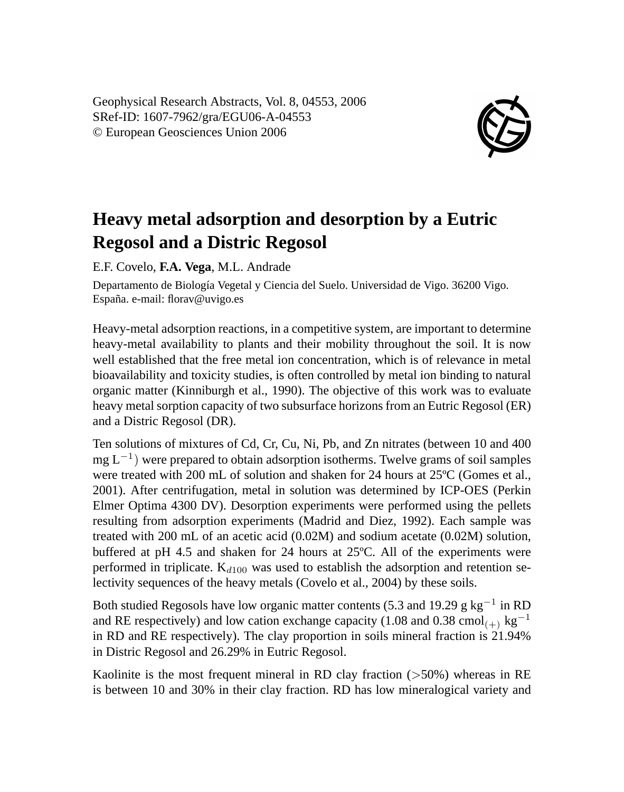Geophysical Research Abstracts, Vol. 8, 04553, 2006 SRef-ID: 1607-7962/gra/EGU06-A-04553 © European Geosciences Union 2006



## **Heavy metal adsorption and desorption by a Eutric Regosol and a Distric Regosol**

E.F. Covelo, **F.A. Vega**, M.L. Andrade

Departamento de Biología Vegetal y Ciencia del Suelo. Universidad de Vigo. 36200 Vigo. España. e-mail: florav@uvigo.es

Heavy-metal adsorption reactions, in a competitive system, are important to determine heavy-metal availability to plants and their mobility throughout the soil. It is now well established that the free metal ion concentration, which is of relevance in metal bioavailability and toxicity studies, is often controlled by metal ion binding to natural organic matter (Kinniburgh et al., 1990). The objective of this work was to evaluate heavy metal sorption capacity of two subsurface horizons from an Eutric Regosol (ER) and a Distric Regosol (DR).

Ten solutions of mixtures of Cd, Cr, Cu, Ni, Pb, and Zn nitrates (between 10 and 400 mg L<sup>-1</sup>) were prepared to obtain adsorption isotherms. Twelve grams of soil samples were treated with 200 mL of solution and shaken for 24 hours at 25ºC (Gomes et al., 2001). After centrifugation, metal in solution was determined by ICP-OES (Perkin Elmer Optima 4300 DV). Desorption experiments were performed using the pellets resulting from adsorption experiments (Madrid and Diez, 1992). Each sample was treated with 200 mL of an acetic acid (0.02M) and sodium acetate (0.02M) solution, buffered at pH 4.5 and shaken for 24 hours at 25ºC. All of the experiments were performed in triplicate.  $K_{d100}$  was used to establish the adsorption and retention selectivity sequences of the heavy metals (Covelo et al., 2004) by these soils.

Both studied Regosols have low organic matter contents (5.3 and 19.29 g kg<sup>-1</sup> in RD and RE respectively) and low cation exchange capacity (1.08 and 0.38 cmol<sub>(+)</sub> kg<sup>-1</sup> in RD and RE respectively). The clay proportion in soils mineral fraction is 21.94% in Distric Regosol and 26.29% in Eutric Regosol.

Kaolinite is the most frequent mineral in RD clay fraction  $(>50%)$  whereas in RE is between 10 and 30% in their clay fraction. RD has low mineralogical variety and